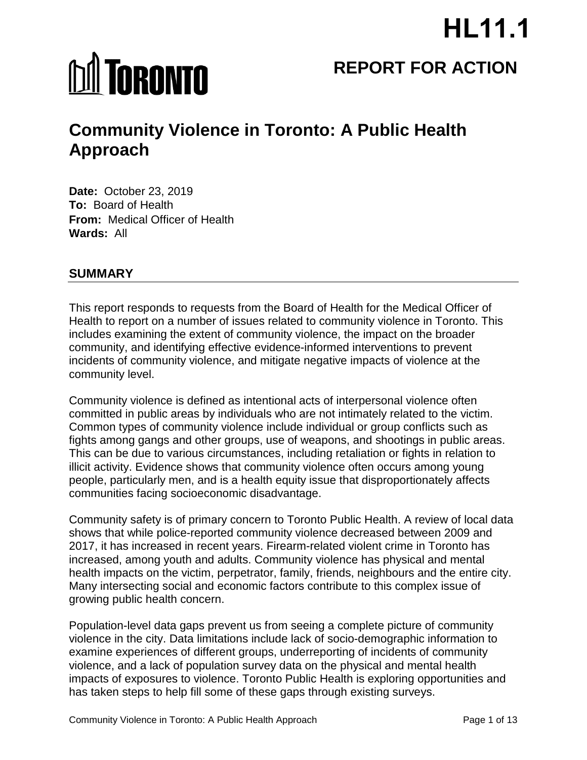# **HL11.1**

# **MI TORONTO**

## **REPORT FOR ACTION**

## **Community Violence in Toronto: A Public Health Approach**

**Date:** October 23, 2019 **To:** Board of Health **From:** Medical Officer of Health **Wards:** All

#### **SUMMARY**

This report responds to requests from the Board of Health for the Medical Officer of Health to report on a number of issues related to community violence in Toronto. This includes examining the extent of community violence, the impact on the broader community, and identifying effective evidence-informed interventions to prevent incidents of community violence, and mitigate negative impacts of violence at the community level.

Community violence is defined as intentional acts of interpersonal violence often committed in public areas by individuals who are not intimately related to the victim. Common types of community violence include individual or group conflicts such as fights among gangs and other groups, use of weapons, and shootings in public areas. This can be due to various circumstances, including retaliation or fights in relation to illicit activity. Evidence shows that community violence often occurs among young people, particularly men, and is a health equity issue that disproportionately affects communities facing socioeconomic disadvantage.

Community safety is of primary concern to Toronto Public Health. A review of local data shows that while police-reported community violence decreased between 2009 and 2017, it has increased in recent years. Firearm-related violent crime in Toronto has increased, among youth and adults. Community violence has physical and mental health impacts on the victim, perpetrator, family, friends, neighbours and the entire city. Many intersecting social and economic factors contribute to this complex issue of growing public health concern.

Population-level data gaps prevent us from seeing a complete picture of community violence in the city. Data limitations include lack of socio-demographic information to examine experiences of different groups, underreporting of incidents of community violence, and a lack of population survey data on the physical and mental health impacts of exposures to violence. Toronto Public Health is exploring opportunities and has taken steps to help fill some of these gaps through existing surveys.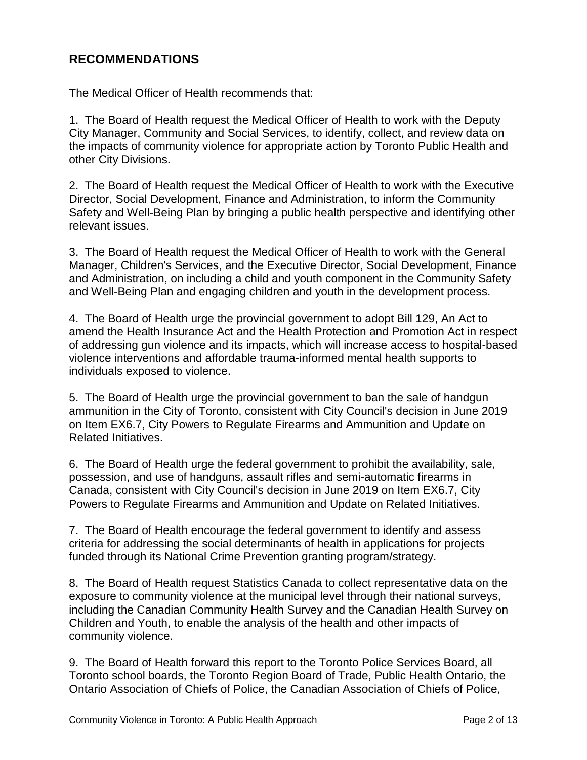#### **RECOMMENDATIONS**

The Medical Officer of Health recommends that:

1. The Board of Health request the Medical Officer of Health to work with the Deputy City Manager, Community and Social Services, to identify, collect, and review data on the impacts of community violence for appropriate action by Toronto Public Health and other City Divisions.

2. The Board of Health request the Medical Officer of Health to work with the Executive Director, Social Development, Finance and Administration, to inform the Community Safety and Well-Being Plan by bringing a public health perspective and identifying other relevant issues.

3. The Board of Health request the Medical Officer of Health to work with the General Manager, Children's Services, and the Executive Director, Social Development, Finance and Administration, on including a child and youth component in the Community Safety and Well-Being Plan and engaging children and youth in the development process.

4. The Board of Health urge the provincial government to adopt Bill 129, An Act to amend the Health Insurance Act and the Health Protection and Promotion Act in respect of addressing gun violence and its impacts, which will increase access to hospital-based violence interventions and affordable trauma-informed mental health supports to individuals exposed to violence.

5. The Board of Health urge the provincial government to ban the sale of handgun ammunition in the City of Toronto, consistent with City Council's decision in June 2019 on Item EX6.7, City Powers to Regulate Firearms and Ammunition and Update on Related Initiatives.

6. The Board of Health urge the federal government to prohibit the availability, sale, possession, and use of handguns, assault rifles and semi-automatic firearms in Canada, consistent with City Council's decision in June 2019 on Item EX6.7, City Powers to Regulate Firearms and Ammunition and Update on Related Initiatives.

7. The Board of Health encourage the federal government to identify and assess criteria for addressing the social determinants of health in applications for projects funded through its National Crime Prevention granting program/strategy.

8. The Board of Health request Statistics Canada to collect representative data on the exposure to community violence at the municipal level through their national surveys, including the Canadian Community Health Survey and the Canadian Health Survey on Children and Youth, to enable the analysis of the health and other impacts of community violence.

9. The Board of Health forward this report to the Toronto Police Services Board, all Toronto school boards, the Toronto Region Board of Trade, Public Health Ontario, the Ontario Association of Chiefs of Police, the Canadian Association of Chiefs of Police,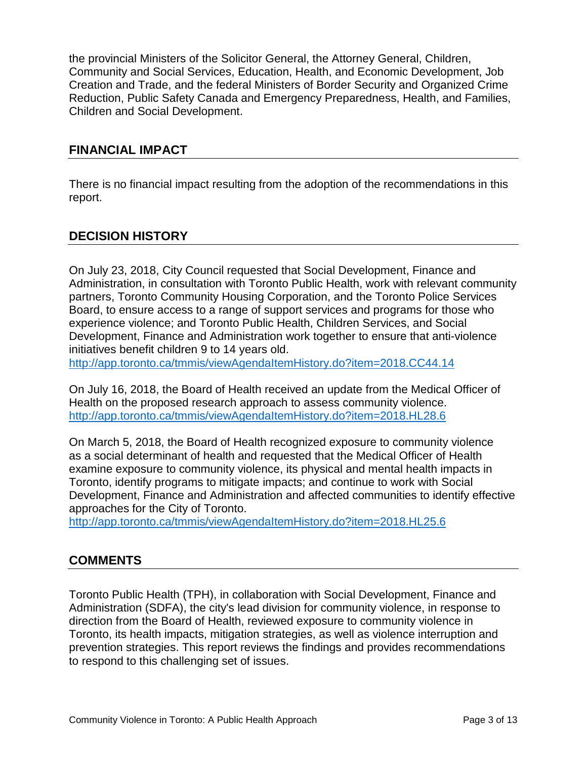the provincial Ministers of the Solicitor General, the Attorney General, Children, Community and Social Services, Education, Health, and Economic Development, Job Creation and Trade, and the federal Ministers of Border Security and Organized Crime Reduction, Public Safety Canada and Emergency Preparedness, Health, and Families, Children and Social Development.

#### **FINANCIAL IMPACT**

There is no financial impact resulting from the adoption of the recommendations in this report.

#### **DECISION HISTORY**

On July 23, 2018, City Council requested that Social Development, Finance and Administration, in consultation with Toronto Public Health, work with relevant community partners, Toronto Community Housing Corporation, and the Toronto Police Services Board, to ensure access to a range of support services and programs for those who experience violence; and Toronto Public Health, Children Services, and Social Development, Finance and Administration work together to ensure that anti-violence initiatives benefit children 9 to 14 years old.

<http://app.toronto.ca/tmmis/viewAgendaItemHistory.do?item=2018.CC44.14>

On July 16, 2018, the Board of Health received an update from the Medical Officer of Health on the proposed research approach to assess community violence. <http://app.toronto.ca/tmmis/viewAgendaItemHistory.do?item=2018.HL28.6>

On March 5, 2018, the Board of Health recognized exposure to community violence as a social determinant of health and requested that the Medical Officer of Health examine exposure to community violence, its physical and mental health impacts in Toronto, identify programs to mitigate impacts; and continue to work with Social Development, Finance and Administration and affected communities to identify effective approaches for the City of Toronto.

<http://app.toronto.ca/tmmis/viewAgendaItemHistory.do?item=2018.HL25.6>

#### **COMMENTS**

Toronto Public Health (TPH), in collaboration with Social Development, Finance and Administration (SDFA), the city's lead division for community violence, in response to direction from the Board of Health, reviewed exposure to community violence in Toronto, its health impacts, mitigation strategies, as well as violence interruption and prevention strategies. This report reviews the findings and provides recommendations to respond to this challenging set of issues.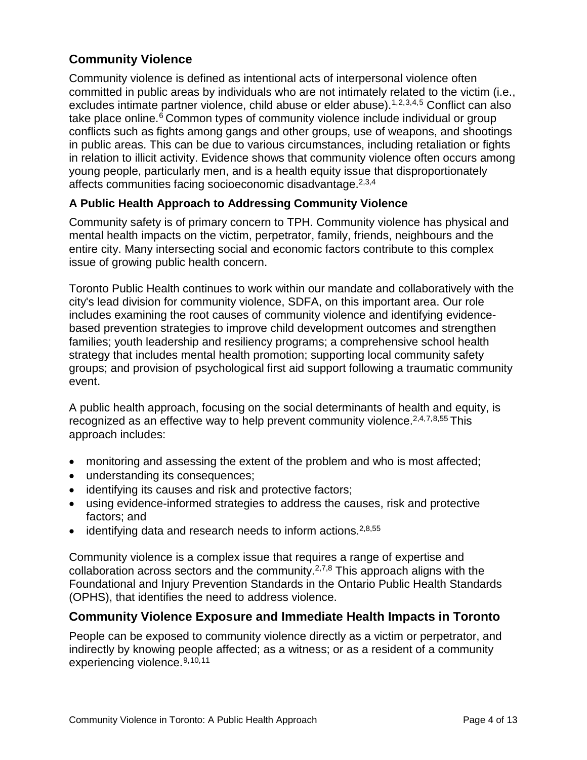#### **Community Violence**

<span id="page-3-2"></span><span id="page-3-1"></span><span id="page-3-0"></span>Community violence is defined as intentional acts of interpersonal violence often committed in public areas by individuals who are not intimately related to the victim (i.e., excludes intimate partner violence, child abuse or elder abuse).<sup>[1](#page-10-0),[2](#page-10-1),[3,](#page-10-2)[4,](#page-10-3)[5](#page-10-4)</sup> Conflict can also take place online.<sup>[6](#page-10-5)</sup> Common types of community violence include individual or group conflicts such as fights among gangs and other groups, use of weapons, and shootings in public areas. This can be due to various circumstances, including retaliation or fights in relation to illicit activity. Evidence shows that community violence often occurs among young people, particularly men, and is a health equity issue that disproportionately affects communities facing socioeconomic disadvantage.<sup>2,[3,](#page-3-1)[4](#page-3-2)</sup>

#### **A Public Health Approach to Addressing Community Violence**

Community safety is of primary concern to TPH. Community violence has physical and mental health impacts on the victim, perpetrator, family, friends, neighbours and the entire city. Many intersecting social and economic factors contribute to this complex issue of growing public health concern.

Toronto Public Health continues to work within our mandate and collaboratively with the city's lead division for community violence, SDFA, on this important area. Our role includes examining the root causes of community violence and identifying evidencebased prevention strategies to improve child development outcomes and strengthen families; youth leadership and resiliency programs; a comprehensive school health strategy that includes mental health promotion; supporting local community safety groups; and provision of psychological first aid support following a traumatic community event.

<span id="page-3-4"></span><span id="page-3-3"></span>A public health approach, focusing on the social determinants of health and equity, is recognized as an effective way to help prevent community violence.<sup>[2,](#page-3-0)[4,](#page-3-2)[7](#page-10-6),[8](#page-10-7),55</sup> This approach includes:

- monitoring and assessing the extent of the problem and who is most affected;
- understanding its consequences;
- identifying its causes and risk and protective factors;
- using evidence-informed strategies to address the causes, risk and protective factors; and
- identifying data and research needs to inform actions.<sup>[2,](#page-3-0)[8,](#page-3-3)55</sup>

Community violence is a complex issue that requires a range of expertise and collaboration across sectors and the community.<sup>[2,7,](#page-3-4)8</sup> This approach aligns with the Foundational and Injury Prevention Standards in the Ontario Public Health Standards (OPHS), that identifies the need to address violence.

#### **Community Violence Exposure and Immediate Health Impacts in Toronto**

<span id="page-3-5"></span>People can be exposed to community violence directly as a victim or perpetrator, and indirectly by knowing people affected; as a witness; or as a resident of a community experiencing violence.[9,](#page-10-8)[10](#page-10-9),[11](#page-10-10)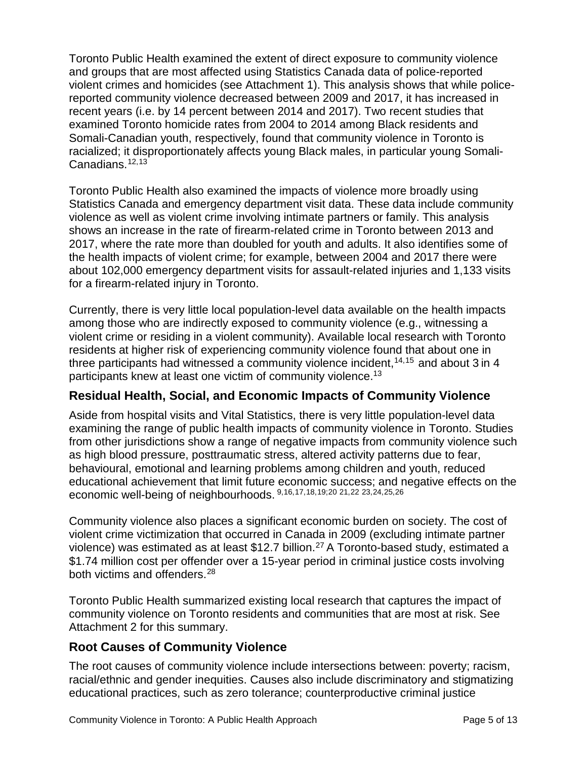Toronto Public Health examined the extent of direct exposure to community violence and groups that are most affected using Statistics Canada data of police-reported violent crimes and homicides (see Attachment 1). This analysis shows that while policereported community violence decreased between 2009 and 2017, it has increased in recent years (i.e. by 14 percent between 2014 and 2017). Two recent studies that examined Toronto homicide rates from 2004 to 2014 among Black residents and Somali-Canadian youth, respectively, found that community violence in Toronto is racialized; it disproportionately affects young Black males, in particular young Somali-Canadians.<sup>[12](#page-10-11),[13](#page-10-12)</sup>

<span id="page-4-1"></span><span id="page-4-0"></span>Toronto Public Health also examined the impacts of violence more broadly using Statistics Canada and emergency department visit data. These data include community violence as well as violent crime involving intimate partners or family. This analysis shows an increase in the rate of firearm-related crime in Toronto between 2013 and 2017, where the rate more than doubled for youth and adults. It also identifies some of the health impacts of violent crime; for example, between 2004 and 2017 there were about 102,000 emergency department visits for assault-related injuries and 1,133 visits for a firearm-related injury in Toronto.

Currently, there is very little local population-level data available on the health impacts among those who are indirectly exposed to community violence (e.g., witnessing a violent crime or residing in a violent community). Available local research with Toronto residents at higher risk of experiencing community violence found that about one in three participants had witnessed a community violence incident,  $14,15$  $14,15$  and about 3 in 4 participants knew at least one victim of community violence.<sup>13</sup>

#### **Residual Health, Social, and Economic Impacts of Community Violence**

Aside from hospital visits and Vital Statistics, there is very little population-level data examining the range of public health impacts of community violence in Toronto. Studies from other jurisdictions show a range of negative impacts from community violence such as high blood pressure, posttraumatic stress, altered activity patterns due to fear, behavioural, emotional and learning problems among children and youth, reduced educational achievement that limit future economic success; and negative effects on the economic well-being of neighbourhoods. [9,](#page-3-5)[16](#page-10-15),[17,](#page-10-16)[18](#page-10-17),[19;](#page-10-18)[20](#page-10-19) [21](#page-10-20),[22](#page-10-21) [23](#page-10-22),[24](#page-10-23),[25,](#page-11-0)[26](#page-11-1)

Community violence also places a significant economic burden on society. The cost of violent crime victimization that occurred in Canada in 2009 (excluding intimate partner violence) was estimated as at least \$12.7 billion.<sup>27</sup> A Toronto-based study, estimated a \$1.74 million cost per offender over a 15-year period in criminal justice costs involving both victims and offenders.<sup>[28](#page-11-3)</sup>

Toronto Public Health summarized existing local research that captures the impact of community violence on Toronto residents and communities that are most at risk. See Attachment 2 for this summary.

#### **Root Causes of Community Violence**

The root causes of community violence include intersections between: poverty; racism, racial/ethnic and gender inequities. Causes also include discriminatory and stigmatizing educational practices, such as zero tolerance; counterproductive criminal justice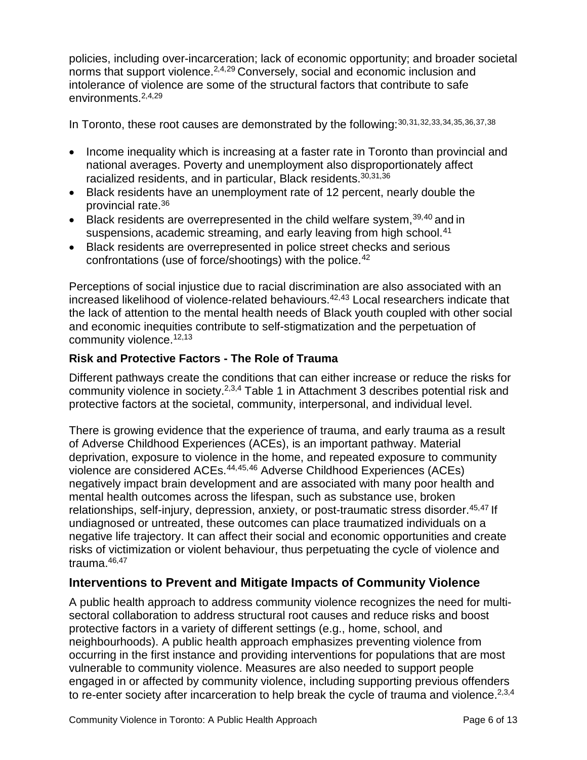<span id="page-5-0"></span>policies, including over-incarceration; lack of economic opportunity; and broader societal norms that support violence.<sup>[2,4,](#page-3-2)[29](#page-11-4)</sup> Conversely, social and economic inclusion and intolerance of violence are some of the structural factors that contribute to safe environments. 2[,4,](#page-3-2)[29](#page-5-0)

<span id="page-5-3"></span><span id="page-5-2"></span><span id="page-5-1"></span>In Toronto, these root causes are demonstrated by the following: [30](#page-11-5),[31,](#page-11-6)[32](#page-11-7),[33](#page-11-8),[34,](#page-11-9)[35](#page-11-10),[36,](#page-11-11)[37,](#page-11-12)[38](#page-11-13)

- Income inequality which is increasing at a faster rate in Toronto than provincial and national averages. Poverty and unemployment also disproportionately affect racialized residents, and in particular, Black residents.<sup>[30](#page-5-1)[,31](#page-5-2)[,36](#page-5-3)</sup>
- Black residents have an unemployment rate of 12 percent, nearly double the provincial rate. [36](#page-5-3)
- Black residents are overrepresented in the child welfare system,  $39,40$  $39,40$  and in suspensions, academic streaming, and early leaving from high school. [41](#page-11-16)
- Black residents are overrepresented in police street checks and serious confrontations (use of force/shootings) with the police.<sup>[42](#page-11-17)</sup>

Perceptions of social injustice due to racial discrimination are also associated with an increased likelihood of violence-related behaviours. 42,[43](#page-11-18) Local researchers indicate that the lack of attention to the mental health needs of Black youth coupled with other social and economic inequities contribute to self-stigmatization and the perpetuation of community violence.<sup>12,[13](#page-4-0)</sup>

#### **Risk and Protective Factors - The Role of Trauma**

Different pathways create the conditions that can either increase or reduce the risks for community violence in society[.2,](#page-3-0)[3](#page-3-1)[,4](#page-3-2) Table 1 in Attachment 3 describes potential risk and protective factors at the societal, community, interpersonal, and individual level.

<span id="page-5-5"></span><span id="page-5-4"></span>There is growing evidence that the experience of trauma, and early trauma as a result of Adverse Childhood Experiences (ACEs), is an important pathway. Material deprivation, exposure to violence in the home, and repeated exposure to community violence are considered ACEs.<sup>[44,](#page-11-19)[45](#page-11-20),[46](#page-11-21)</sup> Adverse Childhood Experiences (ACEs) negatively impact brain development and are associated with many poor health and mental health outcomes across the lifespan, such as substance use, broken relationships, self-injury, depression, anxiety, or post-traumatic stress disorder. [45,](#page-5-4)[47](#page-11-22) If undiagnosed or untreated, these outcomes can place traumatized individuals on a negative life trajectory. It can affect their social and economic opportunities and create risks of victimization or violent behaviour, thus perpetuating the cycle of violence and trauma. [46,](#page-5-5)[47](#page-5-6)

#### <span id="page-5-6"></span>**Interventions to Prevent and Mitigate Impacts of Community Violence**

A public health approach to address community violence recognizes the need for multisectoral collaboration to address structural root causes and reduce risks and boost protective factors in a variety of different settings (e.g., home, school, and neighbourhoods). A public health approach emphasizes preventing violence from occurring in the first instance and providing interventions for populations that are most vulnerable to community violence. Measures are also needed to support people engaged in or affected by community violence, including supporting previous offenders to re-enter society after incarceration to help break the cycle of trauma and violence.<sup>2,[3](#page-3-1)[,4](#page-3-2)</sup>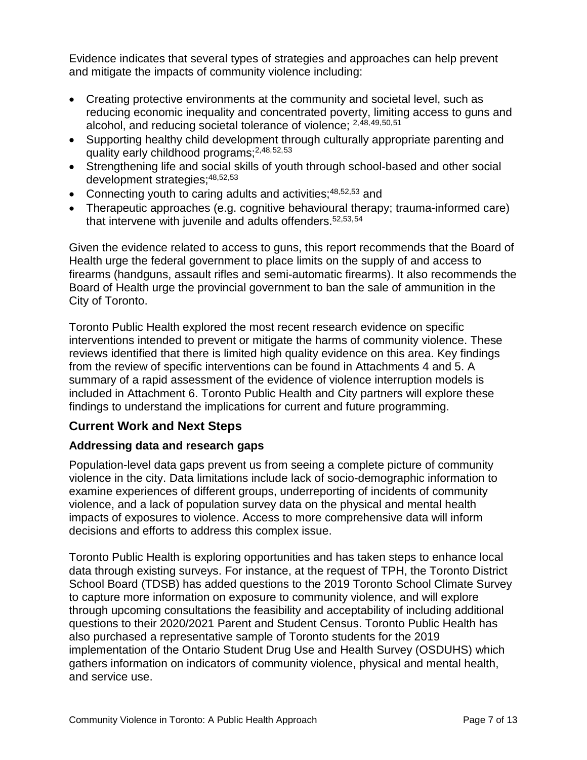Evidence indicates that several types of strategies and approaches can help prevent and mitigate the impacts of community violence including:

- Creating protective environments at the community and societal level, such as reducing economic inequality and concentrated poverty, limiting access to guns and alcohol, and reducing societal tolerance of violence; [2,](#page-3-0)[48](#page-12-0),[49,](#page-12-1)[50,](#page-12-2)[51](#page-12-3)
- <span id="page-6-2"></span><span id="page-6-1"></span><span id="page-6-0"></span>• Supporting healthy child development through culturally appropriate parenting and quality early childhood programs; [2,](#page-3-0)[48,](#page-6-0)[52](#page-12-4),[53](#page-12-5)
- Strengthening life and social skills of youth through school-based and other social development strategies; [48,](#page-6-0)[52,](#page-6-1)[53](#page-6-2)
- Connecting youth to caring adults and activities;  $48,52,53$  $48,52,53$  $48,52,53$  and
- Therapeutic approaches (e.g. cognitive behavioural therapy; trauma-informed care) that intervene with juvenile and adults offenders.<sup>52,[53,](#page-6-2)[54](#page-12-6)</sup>

Given the evidence related to access to guns, this report recommends that the Board of Health urge the federal government to place limits on the supply of and access to firearms (handguns, assault rifles and semi-automatic firearms). It also recommends the Board of Health urge the provincial government to ban the sale of ammunition in the City of Toronto.

Toronto Public Health explored the most recent research evidence on specific interventions intended to prevent or mitigate the harms of community violence. These reviews identified that there is limited high quality evidence on this area. Key findings from the review of specific interventions can be found in Attachments 4 and 5. A summary of a rapid assessment of the evidence of violence interruption models is included in Attachment 6. Toronto Public Health and City partners will explore these findings to understand the implications for current and future programming.

#### **Current Work and Next Steps**

#### **Addressing data and research gaps**

Population-level data gaps prevent us from seeing a complete picture of community violence in the city. Data limitations include lack of socio-demographic information to examine experiences of different groups, underreporting of incidents of community violence, and a lack of population survey data on the physical and mental health impacts of exposures to violence. Access to more comprehensive data will inform decisions and efforts to address this complex issue.

Toronto Public Health is exploring opportunities and has taken steps to enhance local data through existing surveys. For instance, at the request of TPH, the Toronto District School Board (TDSB) has added questions to the 2019 Toronto School Climate Survey to capture more information on exposure to community violence, and will explore through upcoming consultations the feasibility and acceptability of including additional questions to their 2020/2021 Parent and Student Census. Toronto Public Health has also purchased a representative sample of Toronto students for the 2019 implementation of the [Ontario Student Drug Use and Health Survey](https://www.camh.ca/en/science-and-research/institutes-and-centres/institute-for-mental-health-policy-research/ontario-student-drug-use-and-health-survey---osduhs) (OSDUHS) which gathers information on indicators of community violence, physical and mental health, and service use.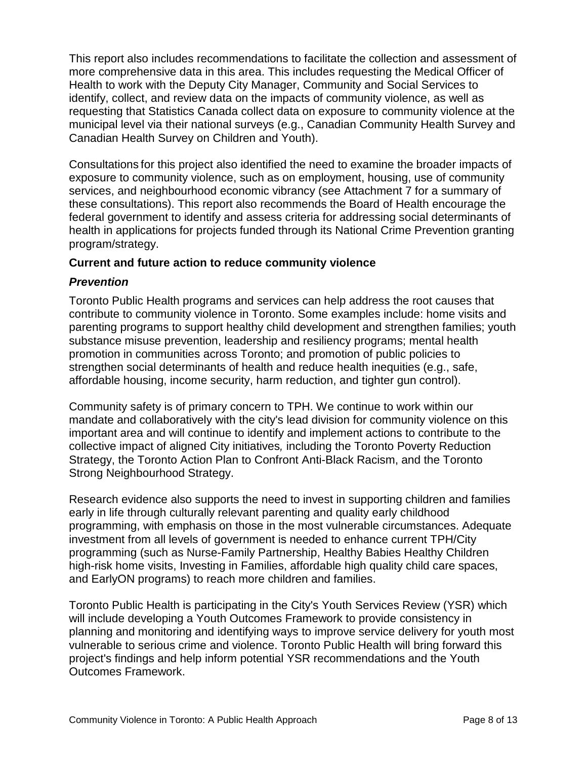This report also includes recommendations to facilitate the collection and assessment of more comprehensive data in this area. This includes requesting the Medical Officer of Health to work with the Deputy City Manager, Community and Social Services to identify, collect, and review data on the impacts of community violence, as well as requesting that Statistics Canada collect data on exposure to community violence at the municipal level via their national surveys (e.g., Canadian Community Health Survey and Canadian Health Survey on Children and Youth).

Consultations for this project also identified the need to examine the broader impacts of exposure to community violence, such as on employment, housing, use of community services, and neighbourhood economic vibrancy (see Attachment 7 for a summary of these consultations). This report also recommends the Board of Health encourage the federal government to identify and assess criteria for addressing social determinants of health in applications for projects funded through its National Crime Prevention granting program/strategy.

#### **Current and future action to reduce community violence**

#### *Prevention*

Toronto Public Health programs and services can help address the root causes that contribute to community violence in Toronto. Some examples include: home visits and parenting programs to support healthy child development and strengthen families; youth substance misuse prevention, leadership and resiliency programs; mental health promotion in communities across Toronto; and promotion of public policies to strengthen social determinants of health and reduce health inequities (e.g., safe, affordable housing, income security, harm reduction, and tighter gun control).

Community safety is of primary concern to TPH. We continue to work within our mandate and collaboratively with the city's lead division for community violence on this important area and will continue to identify and implement actions to contribute to the collective impact of aligned City initiatives*,* including the Toronto Poverty Reduction Strategy, the Toronto Action Plan to Confront Anti-Black Racism, and the Toronto Strong Neighbourhood Strategy.

Research evidence also supports the need to invest in supporting children and families early in life through culturally relevant parenting and quality early childhood programming, with emphasis on those in the most vulnerable circumstances. Adequate investment from all levels of government is needed to enhance current TPH/City programming (such as Nurse-Family Partnership, Healthy Babies Healthy Children high-risk home visits, Investing in Families, affordable high quality child care spaces, and EarlyON programs) to reach more children and families.

Toronto Public Health is participating in the City's Youth Services Review (YSR) which will include developing a Youth Outcomes Framework to provide consistency in planning and monitoring and identifying ways to improve service delivery for youth most vulnerable to serious crime and violence. Toronto Public Health will bring forward this project's findings and help inform potential YSR recommendations and the Youth Outcomes Framework.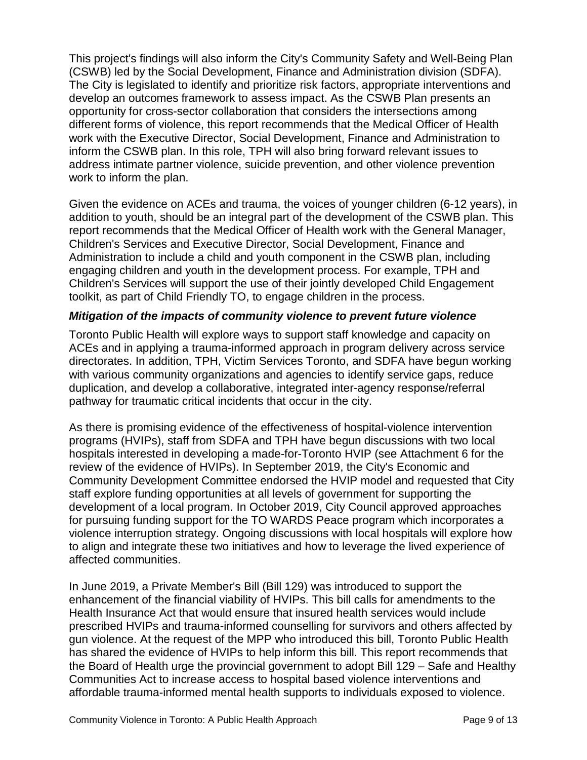This project's findings will also inform the City's Community Safety and Well-Being Plan (CSWB) led by the Social Development, Finance and Administration division (SDFA). The City is legislated to identify and prioritize risk factors, appropriate interventions and develop an outcomes framework to assess impact. As the CSWB Plan presents an opportunity for cross-sector collaboration that considers the intersections among different forms of violence, this report recommends that the Medical Officer of Health work with the Executive Director, Social Development, Finance and Administration to inform the CSWB plan. In this role, TPH will also bring forward relevant issues to address intimate partner violence, suicide prevention, and other violence prevention work to inform the plan.

Given the evidence on ACEs and trauma, the voices of younger children (6-12 years), in addition to youth, should be an integral part of the development of the CSWB plan. This report recommends that the Medical Officer of Health work with the General Manager, Children's Services and Executive Director, Social Development, Finance and Administration to include a child and youth component in the CSWB plan, including engaging children and youth in the development process. For example, TPH and Children's Services will support the use of their jointly developed Child Engagement toolkit, as part of Child Friendly TO, to engage children in the process.

#### *Mitigation of the impacts of community violence to prevent future violence*

Toronto Public Health will explore ways to support staff knowledge and capacity on ACEs and in applying a trauma-informed approach in program delivery across service directorates. In addition, TPH, Victim Services Toronto, and SDFA have begun working with various community organizations and agencies to identify service gaps, reduce duplication, and develop a collaborative, integrated inter-agency response/referral pathway for traumatic critical incidents that occur in the city.

As there is promising evidence of the effectiveness of hospital-violence intervention programs (HVIPs), staff from SDFA and TPH have begun discussions with two local hospitals interested in developing a made-for-Toronto HVIP (see Attachment 6 for the review of the evidence of HVIPs). In September 2019, the City's Economic and Community Development Committee endorsed the HVIP model and requested that City staff explore funding opportunities at all levels of government for supporting the development of a local program. In October 2019, City Council approved approaches for pursuing funding support for the TO WARDS Peace program which incorporates a violence interruption strategy. Ongoing discussions with local hospitals will explore how to align and integrate these two initiatives and how to leverage the lived experience of affected communities.

In June 2019, a Private Member's Bill (Bill 129) was introduced to support the enhancement of the financial viability of HVIPs. This bill calls for amendments to the Health Insurance Act that would ensure that insured health services would include prescribed HVIPs and trauma-informed counselling for survivors and others affected by gun violence. At the request of the MPP who introduced this bill, Toronto Public Health has shared the evidence of HVIPs to help inform this bill. This report recommends that the Board of Health urge the provincial government to adopt Bill 129 – Safe and Healthy Communities Act to increase access to hospital based violence interventions and affordable trauma-informed mental health supports to individuals exposed to violence.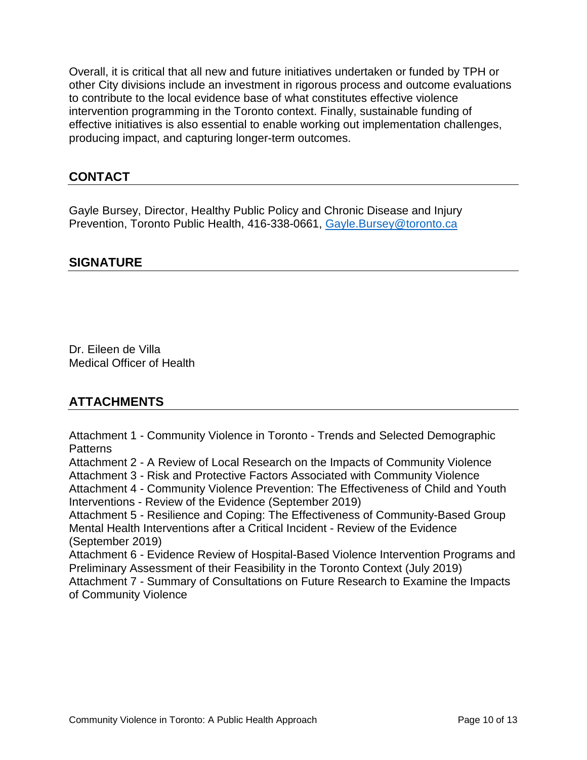Overall, it is critical that all new and future initiatives undertaken or funded by TPH or other City divisions include an investment in rigorous process and outcome evaluations to contribute to the local evidence base of what constitutes effective violence intervention programming in the Toronto context. Finally, sustainable funding of effective initiatives is also essential to enable working out implementation challenges, producing impact, and capturing longer-term outcomes.

#### **CONTACT**

Gayle Bursey, Director, Healthy Public Policy and Chronic Disease and Injury Prevention, Toronto Public Health, 416-338-0661, [Gayle.Bursey@toronto.ca](mailto:Gayle.Bursey@toronto.ca)

#### **SIGNATURE**

Dr. Eileen de Villa Medical Officer of Health

#### **ATTACHMENTS**

Attachment 1 - Community Violence in Toronto - Trends and Selected Demographic Patterns

Attachment 2 - A Review of Local Research on the Impacts of Community Violence

Attachment 3 - Risk and Protective Factors Associated with Community Violence

Attachment 4 - Community Violence Prevention: The Effectiveness of Child and Youth Interventions - Review of the Evidence (September 2019)

Attachment 5 - Resilience and Coping: The Effectiveness of Community-Based Group Mental Health Interventions after a Critical Incident - Review of the Evidence (September 2019)

Attachment 6 - Evidence Review of Hospital-Based Violence Intervention Programs and Preliminary Assessment of their Feasibility in the Toronto Context (July 2019) Attachment 7 - Summary of Consultations on Future Research to Examine the Impacts

of Community Violence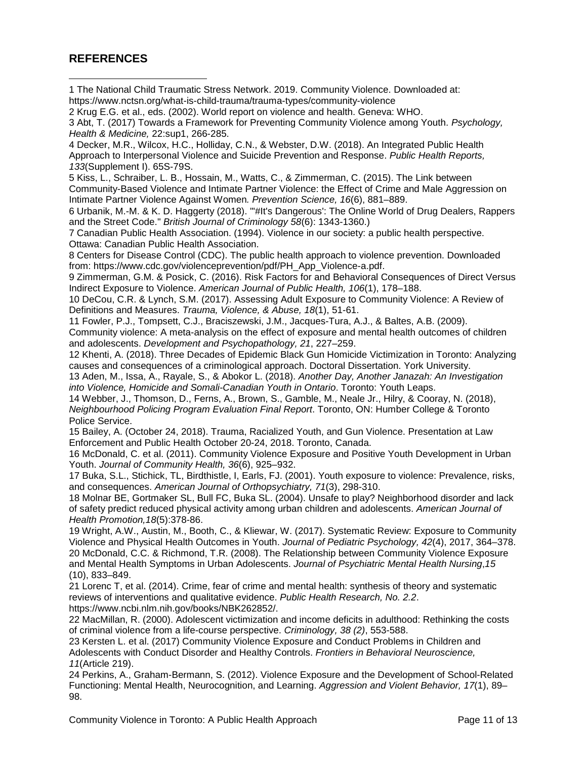#### **REFERENCES**

<span id="page-10-0"></span>1 The National Child Traumatic Stress Network. 2019. Community Violence. Downloaded at: <https://www.nctsn.org/what-is-child-trauma/trauma-types/community-violence>  $\overline{a}$ 

<span id="page-10-1"></span>2 Krug E.G. et al., eds. (2002). World report on violence and health. Geneva: WHO.

<span id="page-10-2"></span>3 Abt, T. (2017) Towards a Framework for Preventing Community Violence among Youth. *Psychology, Health & Medicine,* 22:sup1, 266-285.

<span id="page-10-3"></span>4 Decker, M.R., Wilcox, H.C., Holliday, C.N., & Webster, D.W. (2018). An Integrated Public Health Approach to Interpersonal Violence and Suicide Prevention and Response. *Public Health Reports, 133*(Supplement I). 65S-79S.

<span id="page-10-4"></span>5 Kiss, L., Schraiber, L. B., Hossain, M., Watts, C., & Zimmerman, C. (2015). The Link between Community-Based Violence and Intimate Partner Violence: the Effect of Crime and Male Aggression on Intimate Partner Violence Against Women*. Prevention Science, 16*(6), 881–889.

<span id="page-10-5"></span>6 Urbanik, M.-M. & K. D. Haggerty (2018). "'#It's Dangerous': The Online World of Drug Dealers, Rappers and the Street Code." *British Journal of Criminology 58*(6): 1343-1360.)

<span id="page-10-6"></span>7 Canadian Public Health Association. (1994). Violence in our society: a public health perspective. Ottawa: Canadian Public Health Association.

<span id="page-10-7"></span>8 Centers for Disease Control (CDC). The public health approach to violence prevention. Downloaded from: [https://www.cdc.gov/violenceprevention/pdf/PH\\_App\\_Violence-a.pdf.](https://www.cdc.gov/violenceprevention/pdf/PH_App_Violence-a.pdf)

<span id="page-10-8"></span>9 Zimmerman, G.M. & Posick, C. (2016). Risk Factors for and Behavioral Consequences of Direct Versus Indirect Exposure to Violence. *American [Journal of Public Health,](https://www.ncbi.nlm.nih.gov/pmc/articles/PMC4695920/) 106*(1), 178–188.

<span id="page-10-9"></span>10 DeCou, C.R. & Lynch, S.M. (2017). Assessing Adult Exposure to Community Violence: A Review of Definitions and Measures. *Trauma, Violence, & Abuse, 18*(1), 51-61.

<span id="page-10-10"></span>11 Fowler, P.J., Tompsett, C.J., Braciszewski, J.M., Jacques-Tura, A.J., & Baltes, A.B. (2009). Community violence: A meta-analysis on the effect of exposure and mental health outcomes of children and adolescents. *Development and Psychopathology, 21*, 227–259.

<span id="page-10-11"></span>12 Khenti, A. (2018). Three Decades of Epidemic Black Gun Homicide Victimization in Toronto: Analyzing causes and consequences of a criminological approach. Doctoral Dissertation. York University.

<span id="page-10-12"></span>13 Aden, M., Issa, A., Rayale, S., & Abokor L. (2018). *Another Day, Another Janazah: An Investigation into Violence, Homicide and Somali-Canadian Youth in Ontario*. Toronto: Youth Leaps.

<span id="page-10-13"></span>14 Webber, J., Thomson, D., Ferns, A., Brown, S., Gamble, M., Neale Jr., Hilry, & Cooray, N. (2018), *Neighbourhood Policing Program Evaluation Final Report*. Toronto, ON: Humber College & Toronto Police Service.

<span id="page-10-14"></span>15 Bailey, A. (October 24, 2018). Trauma, Racialized Youth, and Gun Violence. Presentation at Law Enforcement and Public Health October 20-24, 2018. Toronto, Canada.

<span id="page-10-15"></span>16 McDonald, C. et al. (2011). Community Violence Exposure and Positive Youth Development in Urban Youth. *Journal of Community Health, 36*(6), 925–932.

<span id="page-10-16"></span>17 Buka, S.L., Stichick, TL, Birdthistle, I, Earls, FJ. (2001). Youth exposure to violence: Prevalence, risks, and consequences. *American Journal of Orthopsychiatry, 71*(3), 298-310.

<span id="page-10-17"></span>18 Molnar BE, Gortmaker SL, Bull FC, Buka SL. (2004). Unsafe to play? Neighborhood disorder and lack of safety predict reduced physical activity among urban children and adolescents. *American Journal of Health Promotion,18*(5):378-86.

<span id="page-10-19"></span><span id="page-10-18"></span>19 Wright, A.W., Austin, M., Booth, C., & Kliewar, W. (2017). Systematic Review: Exposure to Community Violence and Physical Health Outcomes in Youth. *Journal of Pediatric Psychology, 42*(4), 2017, 364–378. 20 McDonald, C.C. & Richmond, T.R. (2008). The Relationship between Community Violence Exposure and Mental Health Symptoms in Urban Adolescents. *[Journal of Psychiatric Mental Health Nursing](https://www.ncbi.nlm.nih.gov/entrez/eutils/elink.fcgi?dbfrom=pubmed&retmode=ref&cmd=prlinks&id=19012675)*,*15* (10), 833–849.

<span id="page-10-20"></span>21 Lorenc T, et al. (2014). Crime, fear of crime and mental health: synthesis of theory and systematic reviews of interventions and qualitative evidence. *Public Health Research, No. 2.2*. [https://www.ncbi.nlm.nih.gov/books/NBK262852/.](https://www.ncbi.nlm.nih.gov/books/NBK262852/)

<span id="page-10-21"></span>22 MacMillan, R. (2000). Adolescent victimization and income deficits in adulthood: Rethinking the costs of criminal violence from a life-course perspective. *Criminology, [38 \(2\)](https://onlinelibrary.wiley.com/toc/17459125/2000/38/2)*, 553-588.

<span id="page-10-22"></span>23 Kersten L. et al. (2017) Community Violence Exposure and Conduct Problems in Children and Adolescents with Conduct Disorder and Healthy Controls. *Frontiers in Behavioral Neuroscience, 11*(Article 219).

<span id="page-10-23"></span>24 Perkins, A., Graham-Bermann, S. (2012). Violence Exposure and the Development of School-Related Functioning: Mental Health, Neurocognition, and Learning. *Aggression and Violent Behavior, 17*[\(1\), 89–](http://dx.doi.org/10.1016/j.avb.2011.10.001) [98.](http://dx.doi.org/10.1016/j.avb.2011.10.001)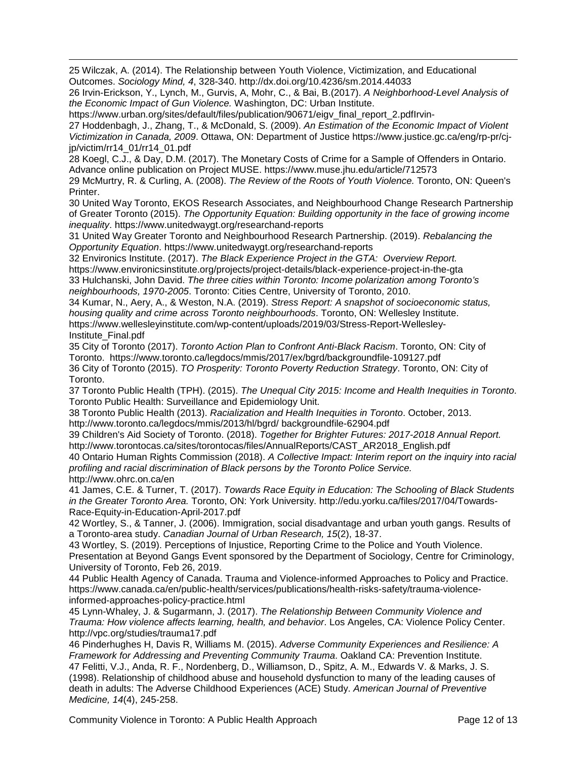<span id="page-11-0"></span> $\overline{a}$ 25 Wilczak, A. (2014). The Relationship between Youth Violence, Victimization, and Educational Outcomes. *Sociology Mind, 4*, 328-340.<http://dx.doi.org/10.4236/sm.2014.44033>

<span id="page-11-1"></span>26 Irvin-Erickson, Y., Lynch, M., Gurvis, A, Mohr, C., & Bai, B.(2017). *A Neighborhood-Level Analysis of the Economic Impact of Gun Violence.* Washington, DC: Urban Institute.

https://www.urban.org/sites/default/files/publication/90671/eigv\_final\_report\_2.pdfIrvin-

<span id="page-11-2"></span>27 Hoddenbagh, J., Zhang, T., & McDonald, S. (2009). *An Estimation of the Economic Impact of Violent Victimization in Canada, 2009*. Ottawa, ON: Department of Justice https://www.justice.gc.ca/eng/rp-pr/cjjp/victim/rr14\_01/rr14\_01.pdf

<span id="page-11-3"></span>28 Koegl, C.J., & Day, D.M. (2017). The Monetary Costs of Crime for a Sample of Offenders in Ontario. Advance online publication on Project MUSE. [https://www.muse.jhu.edu/article/712573](https://muse.jhu.edu/article/712573)

<span id="page-11-4"></span>29 McMurtry, R. & Curling, A. (2008). *The Review of the Roots of Youth Violence.* Toronto, ON: Queen's Printer.

<span id="page-11-5"></span>30 United Way Toronto, EKOS Research Associates, and Neighbourhood Change Research Partnership of Greater Toronto (2015). *The Opportunity Equation: Building opportunity in the face of growing income inequality*.<https://www.unitedwaygt.org/researchand-reports>

<span id="page-11-6"></span>31 United Way Greater Toronto and Neighbourhood Research Partnership. (2019). *Rebalancing the Opportunity Equation*.<https://www.unitedwaygt.org/researchand-reports>

<span id="page-11-7"></span>32 Environics Institute. (2017). *The Black Experience Project in the GTA: Overview Report.* <https://www.environicsinstitute.org/projects/project-details/black-experience-project-in-the-gta> 33 Hulchanski, John David. *The three cities within Toronto: Income polarization among Toronto's neighbourhoods, 1970-2005*. Toronto: Cities Centre, University of Toronto, 2010.

<span id="page-11-9"></span><span id="page-11-8"></span>34 Kumar, N., Aery, A., & Weston, N.A. (2019). *Stress Report: A snapshot of socioeconomic status, housing quality and crime across Toronto neighbourhoods*. Toronto, ON: Wellesley Institute. https://www.wellesleyinstitute.com/wp-content/uploads/2019/03/Stress-Report-Wellesley-Institute\_Final.pdf

<span id="page-11-10"></span>35 City of Toronto (2017). *Toronto Action Plan to Confront Anti-Black Racism*. Toronto, ON: City of Toronto. <https://www.toronto.ca/legdocs/mmis/2017/ex/bgrd/backgroundfile-109127.pdf>

<span id="page-11-11"></span>36 City of Toronto (2015). *TO Prosperity: Toronto Poverty Reduction Strategy*. Toronto, ON: City of Toronto.

<span id="page-11-12"></span>37 Toronto Public Health (TPH). (2015). *The Unequal City 2015: Income and Health Inequities in Toronto*. Toronto Public Health: Surveillance and Epidemiology Unit.

<span id="page-11-13"></span>38 Toronto Public Health (2013). *Racialization and Health Inequities in Toronto*. October, 2013. http://www.toronto.ca/legdocs/mmis/2013/hl/bgrd/ backgroundfile-62904.pdf

<span id="page-11-14"></span>39 Children's Aid Society of Toronto. (2018). *Together for Brighter Futures: 2017-2018 Annual Report.* http://www.torontocas.ca/sites/torontocas/files/AnnualReports/CAST\_AR2018\_English.pdf

<span id="page-11-15"></span>40 Ontario Human Rights Commission (2018). *A Collective Impact: Interim report on the inquiry into racial profiling and racial discrimination of Black persons by the Toronto Police Service.* http://www.ohrc.on.ca/en

<span id="page-11-16"></span>41 James, C.E. & Turner, T. (2017). *Towards Race Equity in Education: The Schooling of Black Students in the Greater Toronto Area.* Toronto, ON: York University. [http://edu.yorku.ca/files/2017/04/Towards-](http://edu.yorku.ca/files/2017/04/Towards-Race-Equity-in-Education-April-2017.pdf)[Race-Equity-in-Education-April-2017.pdf](http://edu.yorku.ca/files/2017/04/Towards-Race-Equity-in-Education-April-2017.pdf)

<span id="page-11-17"></span>42 Wortley, S., & Tanner, J. (2006). Immigration, social disadvantage and urban youth gangs. Results of a Toronto-area study. *Canadian Journal of Urban Research, 15*(2), 18-37.

<span id="page-11-18"></span>43 Wortley, S. (2019). Perceptions of Injustice, Reporting Crime to the Police and Youth Violence. Presentation at Beyond Gangs Event sponsored by the Department of Sociology, Centre for Criminology, University of Toronto, Feb 26, 2019.

<span id="page-11-19"></span>44 Public Health Agency of Canada. Trauma and Violence-informed Approaches to Policy and Practice. [https://www.canada.ca/en/public-health/services/publications/health-risks-safety/trauma-violence](https://www.canada.ca/en/public-health/services/publications/health-risks-safety/trauma-violence-informed-approaches-policy-practice.html)[informed-approaches-policy-practice.html](https://www.canada.ca/en/public-health/services/publications/health-risks-safety/trauma-violence-informed-approaches-policy-practice.html)

<span id="page-11-20"></span>45 Lynn-Whaley, J. & Sugarmann, J. (2017). *The Relationship Between Community Violence and Trauma: How violence affects learning, health, and behavior*. Los Angeles, CA: Violence Policy Center. <http://vpc.org/studies/trauma17.pdf>

<span id="page-11-22"></span><span id="page-11-21"></span>46 Pinderhughes H, Davis R, Williams M. (2015). *Adverse Community Experiences and Resilience: A Framework for Addressing and Preventing Community Trauma*. Oakland CA: Prevention Institute. 47 Felitti, V.J., Anda, R. F., Nordenberg, D., Williamson, D., Spitz, A. M., Edwards V. & Marks, J. S. (1998). Relationship of childhood abuse and household dysfunction to many of the leading causes of death in adults: The Adverse Childhood Experiences (ACE) Study. *American Journal of Preventive Medicine, 14*(4), 245-258.